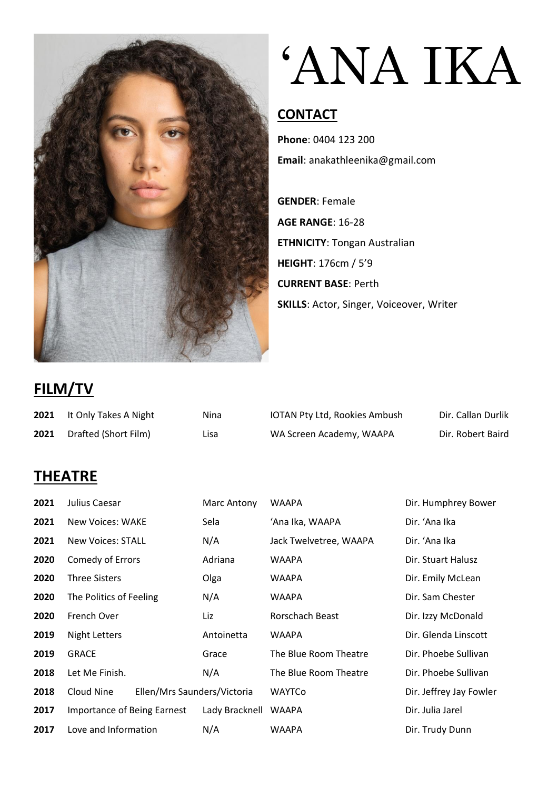

# 'ANA IKA

#### **CONTACT**

**Phone**: 0404 123 200 **Email**: anakathleenika@gmail.com

**GENDER**: Female **AGE RANGE**: 16-28 **ETHNICITY**: Tongan Australian **HEIGHT**: 176cm / 5'9 **CURRENT BASE**: Perth **SKILLS**: Actor, Singer, Voiceover, Writer

## **FILM/TV**

|      | 2021 It Only Takes A Night | Nina | IOTAN Pty Ltd, Rookies Ambush | Dir. Callan Durlik |
|------|----------------------------|------|-------------------------------|--------------------|
| 2021 | Drafted (Short Film)       | Lisa | WA Screen Academy, WAAPA      | Dir. Robert Baird  |

### **THEATRE**

| 2021 | Julius Caesar                      |                             | Marc Antony    | <b>WAAPA</b>           | Dir. Humphrey Bower     |
|------|------------------------------------|-----------------------------|----------------|------------------------|-------------------------|
| 2021 | <b>New Voices: WAKE</b>            |                             | Sela           | 'Ana Ika, WAAPA        | Dir. 'Ana Ika           |
| 2021 | <b>New Voices: STALL</b>           |                             | N/A            | Jack Twelvetree, WAAPA | Dir. 'Ana Ika           |
| 2020 | Comedy of Errors                   |                             | Adriana        | WAAPA                  | Dir. Stuart Halusz      |
| 2020 | <b>Three Sisters</b>               |                             | Olga           | WAAPA                  | Dir. Emily McLean       |
| 2020 | The Politics of Feeling            |                             | N/A            | WAAPA                  | Dir. Sam Chester        |
| 2020 | French Over                        |                             | Liz            | Rorschach Beast        | Dir. Izzy McDonald      |
| 2019 | <b>Night Letters</b>               |                             | Antoinetta     | WAAPA                  | Dir. Glenda Linscott    |
| 2019 | <b>GRACE</b>                       |                             | Grace          | The Blue Room Theatre  | Dir. Phoebe Sullivan    |
| 2018 | Let Me Finish.                     |                             | N/A            | The Blue Room Theatre  | Dir. Phoebe Sullivan    |
| 2018 | Cloud Nine                         | Ellen/Mrs Saunders/Victoria |                | WAYTCo                 | Dir. Jeffrey Jay Fowler |
| 2017 | <b>Importance of Being Earnest</b> |                             | Lady Bracknell | WAAPA                  | Dir. Julia Jarel        |
| 2017 | Love and Information               |                             | N/A            | WAAPA                  | Dir. Trudy Dunn         |